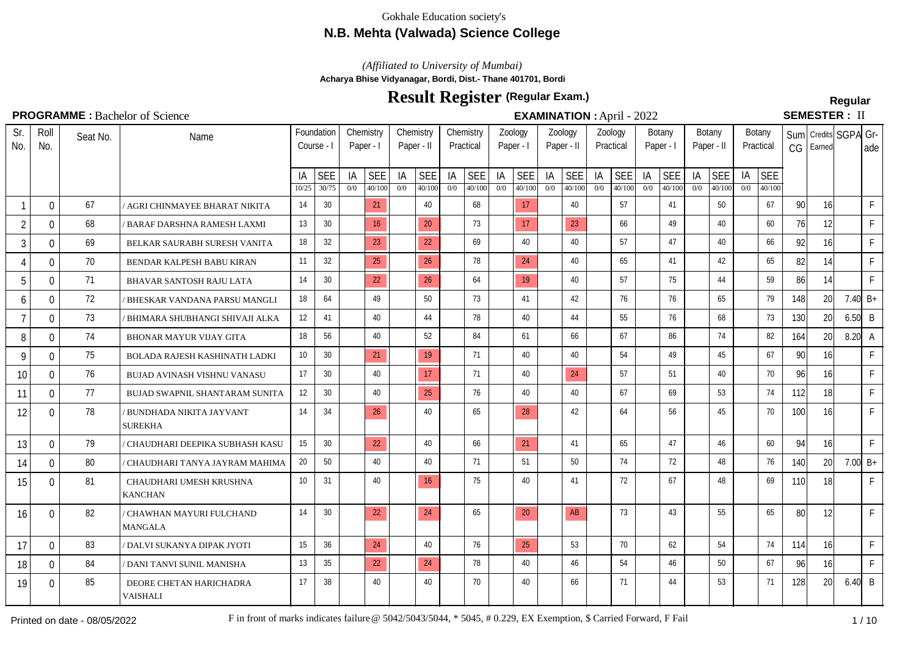# **N.B. Mehta (Valwada) Science College**

*(Affiliated to University of Mumbai)*

**Acharya Bhise Vidyanagar, Bordi, Dist.- Thane 401701, Bordi**

# **Result Register Regular (Regular Exam.)**

# **SEMESTER: II**

| Sr.<br>No.     | Roll<br>No.    | Seat No. | Name                                       |                 | Foundation<br>Course - I | Paper - I | Chemistry  | Chemistry<br>Paper - II |                 |     | Chemistry<br>Practical |     | Zoology<br>Paper - I |     | Zoology<br>Paper - II |     | Zoology<br>Practical | Paper - I | Botany     | Paper - II | Botany     |     | Botany<br>Practical | CG         | Earned    | Sum Credits SGPA Gr- | ade         |
|----------------|----------------|----------|--------------------------------------------|-----------------|--------------------------|-----------|------------|-------------------------|-----------------|-----|------------------------|-----|----------------------|-----|-----------------------|-----|----------------------|-----------|------------|------------|------------|-----|---------------------|------------|-----------|----------------------|-------------|
|                |                |          |                                            | IA              | <b>SEE</b>               | ΙA        | <b>SEE</b> | IA                      | <b>SEE</b>      | IA  | <b>SEE</b>             | IA  | <b>SEE</b>           | IA  | <b>SEE</b>            | IA  | <b>SEE</b>           | IA        | <b>SEE</b> | IA         | <b>SEE</b> | IA  | <b>SEE</b>          |            |           |                      |             |
|                |                |          |                                            | 10/25           | 30/75                    | 0/0       | 40/100     | 0/0                     | 40/100          | 0/0 | 40/100                 | 0/0 | 40/100               | 0/0 | 40/100                | 0/0 | 40/100               | 0/0       | 40/100     | 0/0        | 40/100     | 0/0 | 40/100              |            |           |                      |             |
| $\mathbf 1$    | 0              | 67       | ' AGRI CHINMAYEE BHARAT NIKITA             | 14              | 30                       |           | 21         |                         | 40              |     | 68                     |     | 17                   |     | 40                    |     | 57                   |           | 41         |            | 50         |     | 67                  | 90         | 16        |                      | F           |
| $\overline{2}$ | 0              | 68       | ' BARAF DARSHNA RAMESH LAXMI               | 13              | 30                       |           | 16         |                         | 20              |     | 73                     |     | 17                   |     | 23                    |     | 66                   |           | 49         |            | 40         |     | 60                  | 76         | 12        |                      | F           |
| 3              | 0              | 69       | BELKAR SAURABH SURESH VANITA               | 18              | 32                       |           | 23         |                         | 22              |     | 69                     |     | 40                   |     | 40                    |     | 57                   |           | 47         |            | 40         |     | 66                  | 92         | 16        |                      | F           |
| $\overline{4}$ | 0              | 70       | BENDAR KALPESH BABU KIRAN                  | 11              | 32                       |           | 25         |                         | 26              |     | 78                     |     | 24                   |     | 40                    |     | 65                   |           | 41         |            | 42         |     | 65                  | 82         | 14        |                      | F           |
| 5              | 0              | 71       | BHAVAR SANTOSH RAJU LATA                   | 14              | 30                       |           | 22         |                         | 26              |     | 64                     |     | 19                   |     | 40                    |     | 57                   |           | 75         |            | 44         |     | 59                  | 86         | 14        |                      | $\mathsf F$ |
| 6              | $\Omega$       | 72       | BHESKAR VANDANA PARSU MANGLI               | 18              | 64                       |           | 49         |                         | 50              |     | 73                     |     | 41                   |     | 42                    |     | 76                   |           | 76         |            | 65         |     | 79                  | 148        | 20        |                      | 7.40 $B+$   |
| $\overline{7}$ | 0              | 73       | BHIMARA SHUBHANGI SHIVAJI ALKA             | 12              | 41                       |           | 40         |                         | 44              |     | 78                     |     | 40                   |     | 44                    |     | 55                   |           | 76         |            | 68         |     | 73                  | 130        | 20        | $6.50$ B             |             |
| 8              | 0              | 74       | <b>BHONAR MAYUR VIJAY GITA</b>             | 18              | 56                       |           | 40         |                         | 52              |     | 84                     |     | 61                   |     | 66                    |     | 67                   |           | 86         |            | 74         |     | 82                  | 164        | 20        | $8.20\degree$ A      |             |
| 9              | 0              | 75       | BOLADA RAJESH KASHINATH LADKI              | 10              | 30                       |           | 21         |                         | 19              |     | 71                     |     | 40                   |     | 40                    |     | 54                   |           | 49         |            | 45         |     | 67                  | 90         | 16        |                      | F           |
| 10             | 0              | 76       | BUJAD AVINASH VISHNU VANASU                | 17              | 30 <sup>°</sup>          |           | 40         |                         | 17 <sup>2</sup> |     | 71                     |     | 40                   |     | 24                    |     | 57                   |           | 51         |            | 40         |     | 70                  | 96         | 16        |                      | F           |
| 11             | 0              | 77       | BUJAD SWAPNIL SHANTARAM SUNITA             | 12              | 30                       |           | 40         |                         | 25              |     | 76                     |     | 40                   |     | 40                    |     | 67                   |           | 69         |            | 53         |     | 74                  | 112        | 18        |                      | F           |
| 12             | 0              | 78       | BUNDHADA NIKITA JAYVANT<br><b>SUREKHA</b>  | 14              | 34                       |           | 26         |                         | 40              |     | 65                     |     | 28                   |     | 42                    |     | 64                   |           | 56         |            | 45         |     | 70                  | 100        | 16        |                      | F           |
| 13             | 0              | 79       | CHAUDHARI DEEPIKA SUBHASH KASU             | 15              | 30                       |           | 22         |                         | 40              |     | 66                     |     | 21                   |     | 41                    |     | 65                   |           | 47         |            | 46         |     | 60                  | 94         | 16        |                      | F           |
| 14             | $\overline{0}$ | 80       | CHAUDHARI TANYA JAYRAM MAHIMA              | 20              | 50                       |           | 40         |                         | 40              |     | 71                     |     | 51                   |     | 50                    |     | 74                   |           | 72         |            | 48         |     | 76                  | 140        | <b>20</b> |                      | 7.00 $B+$   |
| 15             | 0              | 81       | CHAUDHARI UMESH KRUSHNA<br><b>KANCHAN</b>  | 10 <sup>°</sup> | 31                       |           | 40         |                         | 16              |     | 75                     |     | 40                   |     | 41                    |     | 72                   |           | 67         |            | 48         |     | 69                  | <b>110</b> | 18        |                      | $\mathsf F$ |
| 16             | 0              | 82       | CHAWHAN MAYURI FULCHAND<br><b>MANGALA</b>  | 14              | 30                       |           | 22         |                         | 24              |     | 65                     |     | 20                   |     | <b>AB</b>             |     | 73                   |           | 43         |            | 55         |     | 65                  | 80         | 12        |                      | F           |
| 17             | 0              | 83       | / DALVI SUKANYA DIPAK JYOTI                | 15              | 36                       |           | 24         |                         | 40              |     | 76                     |     | 25                   |     | 53                    |     | 70                   |           | 62         |            | 54         |     | 74                  | 114        | 16        |                      | F           |
| 18             | 0              | 84       | ' DANI TANVI SUNIL MANISHA                 | 13              | 35                       |           | 22         |                         | 24              |     | 78                     |     | 40                   |     | 46                    |     | 54                   |           | 46         |            | 50         |     | 67                  | 96         | 16        |                      | F           |
| 19             | 0              | 85       | DEORE CHETAN HARICHADRA<br><b>VAISHALI</b> | 17              | 38                       |           | 40         |                         | 40              |     | 70                     |     | 40                   |     | 66                    |     | 71                   |           | 44         |            | 53         |     | 71                  | 128        | 20        | $6.40 \mid B$        |             |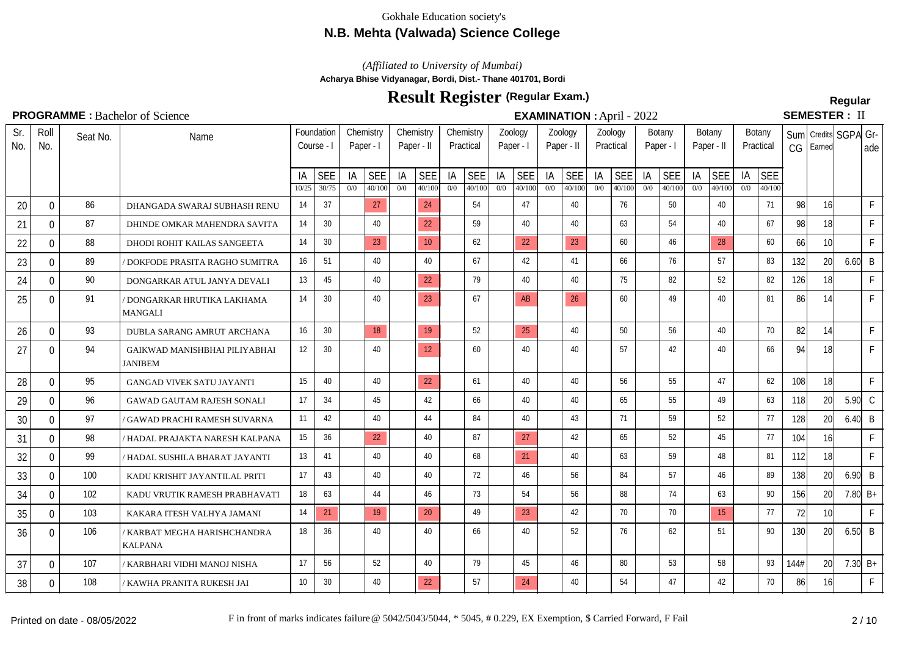## **N.B. Mehta (Valwada) Science College**

## *(Affiliated to University of Mumbai)*

**Acharya Bhise Vidyanagar, Bordi, Dist.- Thane 401701, Bordi**

# **Result Register Regular (Regular Exam.)**

## $C$  $T$  $M$  $T$  $C$  $T$  $T$  $T$  $T$

|            |                |          | <b>PROGRAMME</b> : Bachelor of Science              |                 |                          |           |                        |            |                      |           |                        |           |                      |            |                      |           | <b>EXAMINATION : April - 2022</b> |           |                      |           |                      |           |                      |      |                 | <b>SEMESTER: II</b>  |              |
|------------|----------------|----------|-----------------------------------------------------|-----------------|--------------------------|-----------|------------------------|------------|----------------------|-----------|------------------------|-----------|----------------------|------------|----------------------|-----------|-----------------------------------|-----------|----------------------|-----------|----------------------|-----------|----------------------|------|-----------------|----------------------|--------------|
| Sr.<br>No. | Roll<br>No.    | Seat No. | Name                                                |                 | Foundation<br>Course - I |           | Chemistry<br>Paper - I | Paper - II | Chemistry            |           | Chemistry<br>Practical |           | Zoology<br>Paper - I | Paper - II | Zoology              |           | Zoology<br>Practical              |           | Botany<br>Paper - I  |           | Botany<br>Paper - II |           | Botany<br>Practical  |      | $CG$ Earned     | Sum Credits SGPA Gr- | ade          |
|            |                |          |                                                     | IA<br>10/25     | <b>SEE</b><br>30/75      | IA<br>0/0 | SEE<br>40/100          | IA<br>0/0  | <b>SEE</b><br>40/100 | IA<br>0/0 | <b>SEE</b><br>40/100   | IA<br>0/0 | <b>SEE</b><br>40/100 | IA<br>0/0  | <b>SEE</b><br>40/100 | IA<br>0/0 | SEE  <br>40/100                   | IA<br>0/0 | <b>SEE</b><br>40/100 | IA<br>0/0 | SEE<br>40/100        | IA<br>0/0 | <b>SEE</b><br>40/100 |      |                 |                      |              |
| 20         | $\mathbf{0}$   | 86       | DHANGADA SWARAJ SUBHASH RENU                        | 14              | 37                       |           | 27                     |            | 24                   |           | 54                     |           | 47                   |            | 40                   |           | 76                                |           | 50                   |           | 40                   |           | 71                   | 98   | 16              |                      | F            |
| 21         | $\overline{0}$ | 87       | DHINDE OMKAR MAHENDRA SAVITA                        | 14              | 30 <sup>°</sup>          |           | 40                     |            | 22                   |           | 59                     |           | 40                   |            | 40                   |           | 63                                |           | 54                   |           | 40                   |           | 67                   | 98   | 18              |                      | F.           |
| 22         | $\mathbf{0}$   | 88       | DHODI ROHIT KAILAS SANGEETA                         | 14              | 30 <sup>°</sup>          |           | 23                     |            | 10 <sup>°</sup>      |           | 62                     |           | 22                   |            | 23                   |           | 60                                |           | 46                   |           | 28                   |           | 60                   | 66   | 10 <sup>1</sup> |                      | F.           |
| 23         | $\overline{0}$ | 89       | DOKFODE PRASITA RAGHO SUMITRA                       | 16              | 51                       |           | 40                     |            | 40                   |           | 67                     |           | 42                   |            | 41                   |           | 66                                |           | 76                   |           | 57                   |           | 83                   | 132  | 20 <sup>1</sup> | $6.60\vert B$        |              |
| 24         | $\mathbf{0}$   | 90       | DONGARKAR ATUL JANYA DEVALI                         | 13              | 45                       |           | 40                     |            | 22                   |           | 79                     |           | 40                   |            | 40                   |           | 75                                |           | 82                   |           | 52                   |           | 82                   | 126  | 18              |                      | F            |
| 25         | $\Omega$       | 91       | / DONGARKAR HRUTIKA LAKHAMA<br><b>MANGALI</b>       | 14              | 30                       |           | 40                     |            | 23                   |           | 67                     |           | AB                   |            | 26                   |           | 60                                |           | 49                   |           | 40                   |           | 81                   | 86   | 14              |                      | F.           |
| 26         | $\Omega$       | 93       | DUBLA SARANG AMRUT ARCHANA                          | 16              | 30 <sup>2</sup>          |           | 18                     |            | 19                   |           | 52                     |           | 25                   |            | 40                   |           | $50^{\circ}$                      |           | 56                   |           | 40                   |           | 70                   | 82   | 14              |                      | F            |
| 27         | $\overline{0}$ | 94       | GAIKWAD MANISHBHAI PILIYABHAI<br>JANIBEM            | 12              | 30 <sup>°</sup>          |           | 40                     |            | 12                   |           | 60                     |           | 40                   |            | 40                   |           | 57                                |           | 42                   |           | 40                   |           | 66                   | 94   | 18 <sup>1</sup> |                      | $\mathsf F$  |
| 28         | $\overline{0}$ | 95       | <b>GANGAD VIVEK SATU JAYANTI</b>                    | 15              | 40                       |           | 40                     |            | 22                   |           | 61                     |           | 40                   |            | 40                   |           | 56                                |           | 55                   |           | 47                   |           | 62                   | 108  | 18              |                      | F.           |
| 29         | $\overline{0}$ | 96       | <b>GAWAD GAUTAM RAJESH SONALI</b>                   | 17              | 34                       |           | 45                     |            | 42                   |           | 66                     |           | 40                   |            | 40                   |           | 65                                |           | 55                   |           | 49                   |           | 63                   | 118  | 20              | $5.90\,$ C           |              |
| 30         | $\Omega$       | 97       | GAWAD PRACHI RAMESH SUVARNA                         | 11              | 42                       |           | 40                     |            | 44                   |           | 84                     |           | 40                   |            | 43                   |           | 71                                |           | 59                   |           | 52                   |           | 77                   | 128  | 20              | $6.40 \mid B$        |              |
| 31         | $\mathbf{0}$   | 98       | 'HADAL PRAJAKTA NARESH KALPANA                      | 15              | 36                       |           | 22                     |            | 40                   |           | 87                     |           | 27                   |            | 42                   |           | 65                                |           | 52                   |           | 45                   |           | 77                   | 104  | 16              |                      | F            |
| 32         | $\overline{0}$ | 99       | 'HADAL SUSHILA BHARAT JAYANTI                       | 13              | 41                       |           | 40                     |            | 40                   |           | 68                     |           | 21                   |            | 40                   |           | 63                                |           | 59                   |           | 48                   |           | 81                   | 112  | 18              |                      | $\mathsf F$  |
| 33         | $\overline{0}$ | 100      | KADU KRISHIT JAYANTILAL PRITI                       | 17              | 43                       |           | 40                     |            | 40                   |           | 72                     |           | 46                   |            | 56                   |           | 84                                |           | 57                   |           | 46                   |           | 89                   | 138  | 20 <sup>1</sup> | $6.90 \vert B$       |              |
| 34         | $\overline{0}$ | 102      | KADU VRUTIK RAMESH PRABHAVATI                       | 18              | 63                       |           | 44                     |            | 46                   |           | 73                     |           | 54                   |            | 56                   |           | 88                                |           | 74                   |           | 63                   |           | 90                   | 156  | 20 <sup>1</sup> | 7.80 $B+$            |              |
| 35         | $\Omega$       | 103      | KAKARA ITESH VALHYA JAMANI                          | 14              | 21                       |           | 19                     |            | 20                   |           | 49                     |           | 23                   |            | 42                   |           | 70                                |           | 70                   |           | 15                   |           | 77                   | 72   | 10 <sup>1</sup> |                      | $\mathsf{F}$ |
| 36         | $\Omega$       | 106      | <b>KARBAT MEGHA HARISHCHANDRA</b><br><b>KALPANA</b> | 18              | 36                       |           | 40                     |            | 40                   |           | 66                     |           | 40                   |            | 52                   |           | 76                                |           | 62                   |           | 51                   |           | 90                   | 130  | 20 <sup>1</sup> | $6.50\vert B$        |              |
| 37         | $\overline{0}$ | 107      | ' KARBHARI VIDHI MANOJ NISHA                        | 17              | 56                       |           | 52                     |            | 40                   |           | 79                     |           | 45                   |            | 46                   |           | 80                                |           | 53                   |           | 58                   |           | 93                   | 144# | 20 <sup>1</sup> |                      | 7.30 $B+$    |
| 38         | $\overline{0}$ | 108      | ' KAWHA PRANITA RUKESH JAI                          | 10 <sup>1</sup> | 30 <sup>°</sup>          |           | 40                     |            | 22                   |           | 57                     |           | 24                   |            | 40                   |           | 54                                |           | 47                   |           | 42                   |           | 70                   | 86   | 16              |                      | $\mathsf F$  |
|            |                |          |                                                     |                 |                          |           |                        |            |                      |           |                        |           |                      |            |                      |           |                                   |           |                      |           |                      |           |                      |      |                 |                      |              |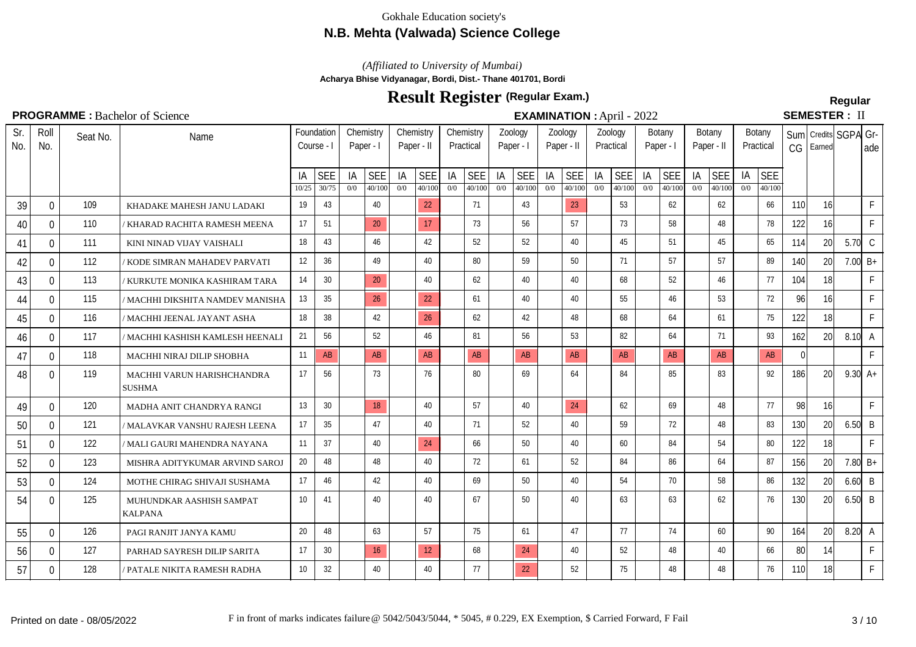# **N.B. Mehta (Valwada) Science College**

*(Affiliated to University of Mumbai)*

**Acharya Bhise Vidyanagar, Bordi, Dist.- Thane 401701, Bordi**

# **Result Register Regular (Regular Exam.)**

**EXAMINATION :** April - 2022

# **SEMESTER: II**

|  |  |  | <b>PROGRAMME:</b> Bachelor of Science |  |
|--|--|--|---------------------------------------|--|
|  |  |  |                                       |  |

| Sr.<br>No. | Roll<br>No.    | Seat No. | Name                                        |                 | Foundation<br>Course - I | Chemistry<br>Paper - I |                      | Chemistry<br>Paper - II |                      |           | Chemistry<br>Practical | Paper - I | Zoology              |           | Zoology<br>Paper - II |           | Zoology<br>Practical | Botany<br>Paper - I |                      | Paper - II | Botany               |           | Botany<br>Practical  | CG         | Earned          | Sum Credits SGPA Gr- | ade          |
|------------|----------------|----------|---------------------------------------------|-----------------|--------------------------|------------------------|----------------------|-------------------------|----------------------|-----------|------------------------|-----------|----------------------|-----------|-----------------------|-----------|----------------------|---------------------|----------------------|------------|----------------------|-----------|----------------------|------------|-----------------|----------------------|--------------|
|            |                |          |                                             | IA<br>10/25     | <b>SEE</b><br>30/75      | IA<br>0/0              | <b>SEE</b><br>40/100 | IA<br>0/0               | <b>SEE</b><br>40/100 | IA<br>0/0 | <b>SEE</b><br>40/100   | IA<br>0/0 | <b>SEE</b><br>40/100 | IA<br>0/0 | <b>SEE</b><br>40/100  | IA<br>0/0 | <b>SEE</b><br>40/100 | IA<br>0/0           | <b>SEE</b><br>40/100 | IA<br>0/0  | <b>SEE</b><br>40/100 | IA<br>0/0 | <b>SEE</b><br>40/100 |            |                 |                      |              |
| 39         | 0              | 109      | KHADAKE MAHESH JANU LADAKI                  | 19              | 43                       |                        | 40                   |                         | 22                   |           | 71                     |           | 43                   |           | 23                    |           | 53                   |                     | 62                   |            | 62                   |           | 66                   | 110        | 16              |                      | $\mathsf{F}$ |
| 40         | $\mathbf{0}$   | 110      | KHARAD RACHITA RAMESH MEENA                 | 17              | 51                       |                        | 20                   |                         | 17                   |           | 73                     |           | 56                   |           | 57                    |           | 73                   |                     | 58                   |            | 48                   |           | 78                   | 122        | 16              |                      | F            |
| 41         | 0              | 111      | KINI NINAD VIJAY VAISHALI                   | 18              | 43                       |                        | 46                   |                         | 42                   |           | 52                     |           | 52                   |           | 40                    |           | 45                   |                     | 51                   |            | 45                   |           | 65                   | 114        | 20              | $5.70\degree$ C      |              |
| 42         | 0              | 112      | KODE SIMRAN MAHADEV PARVATI                 | 12              | 36                       |                        | 49                   |                         | 40                   |           | 80                     |           | 59                   |           | 50                    |           | 71                   |                     | 57                   |            | 57                   |           | 89                   | 140        | 20              | 7.00 $B+$            |              |
| 43         | $\overline{0}$ | 113      | KURKUTE MONIKA KASHIRAM TARA                | 14              | 30                       |                        | 20                   |                         | 40                   |           | 62                     |           | 40                   |           | 40                    |           | 68                   |                     | 52                   |            | 46                   |           | 77                   | 104        | 18              |                      | $\mathsf F$  |
| 44         | $\mathbf 0$    | 115      | 'MACHHI DIKSHITA NAMDEV MANISHA             | 13              | 35                       |                        | 26                   |                         | 22                   |           | 61                     |           | 40                   |           | 40                    |           | 55                   |                     | 46                   |            | 53                   |           | 72                   | 96         | 16              |                      | F            |
| 45         | 0              | 116      | 'MACHHI JEENAL JAYANT ASHA                  | 18              | 38                       |                        | 42                   |                         | 26                   |           | 62                     |           | 42                   |           | 48                    |           | 68                   |                     | 64                   |            | 61                   |           | 75                   | 122        | 18              |                      | $\mathsf F$  |
| 46         | 0              | 117      | MACHHI KASHISH KAMLESH HEENALI              | 21              | 56                       |                        | 52                   |                         | 46                   |           | 81                     |           | 56                   |           | 53                    |           | 82                   |                     | 64                   |            | 71                   |           | 93                   | 162        | 20 <sup>1</sup> | $8.10\degree$ A      |              |
| 47         | $\Omega$       | 118      | MACHHI NIRAJ DILIP SHOBHA                   | 11              | AB                       |                        | AB                   |                         | AB                   |           | AB                     |           | AB                   |           | AB                    |           | AB                   |                     | AB                   |            | AB                   |           | AB                   | 0          |                 |                      | F            |
| 48         | $\Omega$       | 119      | MACHHI VARUN HARISHCHANDRA<br><b>SUSHMA</b> | 17              | 56                       |                        | 73                   |                         | 76                   |           | 80                     |           | 69                   |           | 64                    |           | 84                   |                     | 85                   |            | 83                   |           | 92                   | <b>186</b> | <b>20</b>       | $9.30 \, \text{A} +$ |              |
| 49         | 0              | 120      | MADHA ANIT CHANDRYA RANGI                   | 13              | 30                       |                        | 18                   |                         | 40                   |           | 57                     |           | 40                   |           | 24                    |           | 62                   |                     | 69                   |            | 48                   |           | 77                   | 98         | 16              |                      | $\mathsf{F}$ |
| 50         | 0              | 121      | ' MALAVKAR VANSHU RAJESH LEENA              | 17              | 35                       |                        | 47                   |                         | 40                   |           | 71                     |           | 52                   |           | 40                    |           | 59                   |                     | 72                   |            | 48                   |           | 83                   | 130        | 20              | $6.50\,$ B           |              |
| 51         | $\mathbf 0$    | 122      | ' MALI GAURI MAHENDRA NAYANA                | 11              | 37                       |                        | 40                   |                         | 24                   |           | 66                     |           | 50                   |           | 40                    |           | 60                   |                     | 84                   |            | 54                   |           | 80                   | 122        | 18              |                      | $\mathsf F$  |
| 52         | $\Omega$       | 123      | MISHRA ADITYKUMAR ARVIND SAROJ              | 20              | 48                       |                        | 48                   |                         | 40                   |           | 72                     |           | 61                   |           | 52                    |           | 84                   |                     | 86                   |            | 64                   |           | 87                   | 156        | 20              |                      | 7.80 $B+$    |
| 53         | $\mathbf 0$    | 124      | MOTHE CHIRAG SHIVAJI SUSHAMA                | 17              | 46                       |                        | 42                   |                         | 40                   |           | 69                     |           | 50                   |           | 40                    |           | 54                   |                     | 70                   |            | 58                   |           | 86                   | 132        | 20              | $6.60$ B             |              |
| 54         | $\Omega$       | 125      | MUHUNDKAR AASHISH SAMPAT<br><b>KALPANA</b>  | 10 <sup>1</sup> | 41                       |                        | 40                   |                         | 40                   |           | 67                     |           | 50                   |           | 40                    |           | 63                   |                     | 63                   |            | 62                   |           | 76                   | 130        | 20 <sup>1</sup> | $6.50$ B             |              |
| 55         | $\overline{0}$ | 126      | PAGI RANJIT JANYA KAMU                      | 20              | 48                       |                        | 63                   |                         | 57                   |           | 75                     |           | 61                   |           | 47                    |           | 77                   |                     | 74                   |            | 60                   |           | 90                   | 164        | 20 <sup>1</sup> | $8.20\degree$ A      |              |
| 56         | 0              | 127      | PARHAD SAYRESH DILIP SARITA                 | 17              | 30                       |                        | 16                   |                         | 12 <sup>°</sup>      |           | 68                     |           | 24                   |           | 40                    |           | 52                   |                     | 48                   |            | 40                   |           | 66                   | 80         | 14              |                      | $\mathsf F$  |
| 57         | $\Omega$       | 128      | PATALE NIKITA RAMESH RADHA                  | 10              | 32                       |                        | 40                   |                         | 40                   |           | 77                     |           | 22                   |           | 52                    |           | 75                   |                     | 48                   |            | 48                   |           | 76                   | <b>110</b> | 18              |                      | $\mathsf F$  |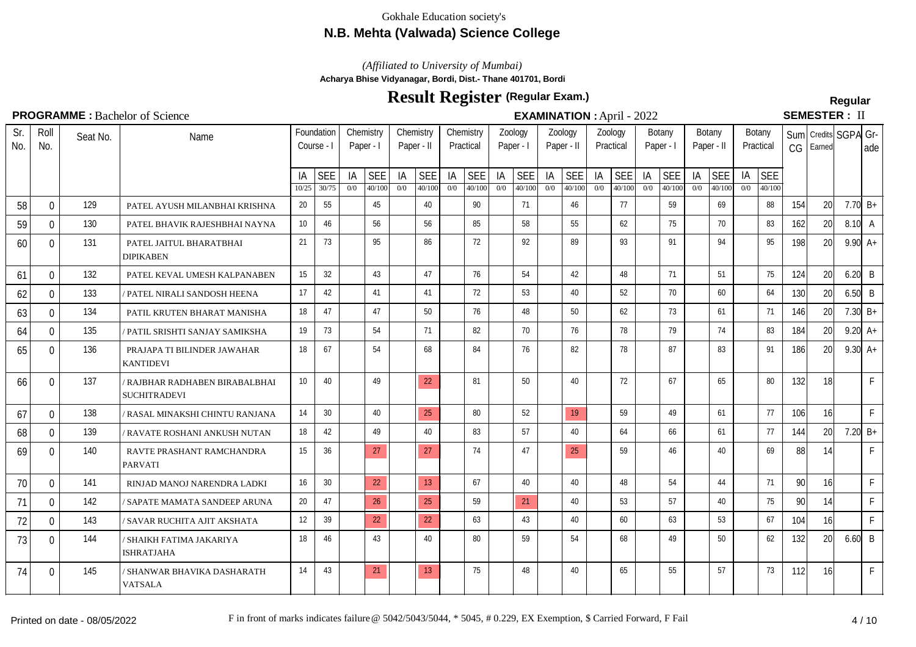## **N.B. Mehta (Valwada) Science College**

*(Affiliated to University of Mumbai)*

**Acharya Bhise Vidyanagar, Bordi, Dist.- Thane 401701, Bordi**

# **Result Register Regular (Regular Exam.)**

# SEMESTER · II

|            |                |          | <b>I ROOKAINING</b> DACIERTO OF SCIENCE             |                 |                          |           |                        |           |                      |           |                        |           |                      |           | <b>EAAMINATIVN</b> . APHI - $2022$ |           |                      |           |                      |            |                      |           |                      |       | ULIVILU I LI\ . II             |                      |              |
|------------|----------------|----------|-----------------------------------------------------|-----------------|--------------------------|-----------|------------------------|-----------|----------------------|-----------|------------------------|-----------|----------------------|-----------|------------------------------------|-----------|----------------------|-----------|----------------------|------------|----------------------|-----------|----------------------|-------|--------------------------------|----------------------|--------------|
| Sr.<br>No. | Roll<br>No.    | Seat No. | Name                                                |                 | Foundation<br>Course - I |           | Chemistry<br>Paper - I | Chemistry | Paper - II           |           | Chemistry<br>Practical |           | Zoology<br>Paper - I |           | Zoology<br>Paper - II              | Zoology   | Practical            | Paper - I | Botany               | Paper - II | Botany               |           | Botany<br>Practical  | CG    | Sum Credits SGPA Gr-<br>Earned |                      | lade         |
|            |                |          |                                                     | ΙA<br>10/25     | <b>SEE</b><br>30/75      | IA<br>0/0 | <b>SEE</b><br>40/100   | IA<br>0/0 | <b>SEE</b><br>40/100 | IA<br>0/0 | <b>SEE</b><br>40/100   | IA<br>0/0 | <b>SEE</b><br>40/100 | IA<br>0/0 | <b>SEE</b><br>40/100               | IA<br>0/0 | <b>SEE</b><br>40/100 | IA<br>0/0 | <b>SEE</b><br>40/100 | IA<br>0/0  | <b>SEE</b><br>40/100 | IA<br>0/0 | <b>SEE</b><br>40/100 |       |                                |                      |              |
| 58         | $\mathbf{0}$   | 129      | PATEL AYUSH MILANBHAI KRISHNA                       | 20              | 55                       |           | 45                     |           | 40                   |           | 90                     |           | 71                   |           | 46                                 |           | 77                   |           | 59                   |            | 69                   |           | 88                   | 154   | 20                             | 7.70 $B+$            |              |
| 59         | $\mathbf 0$    | 130      | PATEL BHAVIK RAJESHBHAI NAYNA                       | 10 <sup>°</sup> | 46                       |           | 56                     |           | 56                   |           | 85                     |           | 58                   |           | 55                                 |           | 62                   |           | 75                   |            | 70                   |           | 83                   | 162   | 20                             | $8.10\degree$ A      |              |
| 60         | $\mathbf 0$    | 131      | PATEL JAITUL BHARATBHAI<br><b>DIPIKABEN</b>         | 21              | 73                       |           | 95                     |           | 86                   |           | 72                     |           | 92                   |           | 89                                 |           | 93                   |           | 91                   |            | 94                   |           | 95                   | 198   | 20                             | $9.90 \, \text{A} +$ |              |
| 61         | $\overline{0}$ | 132      | PATEL KEVAL UMESH KALPANABEN                        | 15              | 32                       |           | 43                     |           | 47                   |           | 76                     |           | 54                   |           | 42                                 |           | 48                   |           | 71                   |            | 51                   |           | 75                   | 124   | 20                             | $6.20$ B             |              |
| 62         | $\Omega$       | 133      | PATEL NIRALI SANDOSH HEENA                          | 17              | 42                       |           | 41                     |           | 41                   |           | 72                     |           | 53                   |           | 40                                 |           | 52                   |           | 70                   |            | 60                   |           | 64                   | 130   | 20                             | $6.50$ B             |              |
| 63         | $\mathbf{0}$   | 134      | PATIL KRUTEN BHARAT MANISHA                         | 18              | 47                       |           | 47                     |           | 50                   |           | 76                     |           | 48                   |           | 50                                 |           | 62                   |           | 73                   |            | 61                   |           | 71                   | 146   | 20                             | 7.30 $B+$            |              |
| 64         | $\mathbf 0$    | 135      | PATIL SRISHTI SANJAY SAMIKSHA                       | 19              | 73                       |           | 54                     |           | 71                   |           | 82                     |           | 70                   |           | 76                                 |           | 78                   |           | 79                   |            | 74                   |           | 83                   | 184   | 20                             | 9.20 $A+$            |              |
| 65         | $\mathbf 0$    | 136      | PRAJAPA TI BILINDER JAWAHAR<br><b>KANTIDEVI</b>     | 18              | 67                       |           | 54                     |           | 68                   |           | 84                     |           | 76                   |           | 82                                 |           | 78                   |           | 87                   |            | 83                   |           | 91                   | 186   | 20 <sup>1</sup>                | $9.30 \, \text{A} +$ |              |
| 66         | $\mathbf 0$    | 137      | RAJBHAR RADHABEN BIRABALBHAI<br><b>SUCHITRADEVI</b> | 10 <sup>1</sup> | 40                       |           | 49                     |           | 22                   |           | 81                     |           | 50                   |           | 40                                 |           | 72                   |           | 67                   |            | 65                   |           | 80                   | 132   | 18 <sup>1</sup>                |                      | $\mathsf{F}$ |
| 67         | $\overline{0}$ | 138      | / RASAL MINAKSHI CHINTU RANJANA                     | 14              | 30                       |           | 40                     |           | 25                   |           | 80                     |           | 52                   |           | 19                                 |           | 59                   |           | 49                   |            | 61                   |           | 77                   | 106   | 16                             |                      | $\mathsf F$  |
| 68         | $\mathbf 0$    | 139      | <b>RAVATE ROSHANI ANKUSH NUTAN</b>                  | 18              | 42                       |           | 49                     |           | 40                   |           | 83                     |           | 57                   |           | 40                                 |           | 64                   |           | 66                   |            | 61                   |           | 77                   | 144   | 20                             | 7.20 $B+$            |              |
| 69         | $\mathbf 0$    | 140      | RAVTE PRASHANT RAMCHANDRA<br><b>PARVATI</b>         | 15              | 36                       |           | 27                     |           | 27                   |           | 74                     |           | 47                   |           | 25                                 |           | 59                   |           | 46                   |            | 40                   |           | 69                   | 88    | 14                             |                      | $\mathsf{F}$ |
| 70         | $\mathbf 0$    | 141      | RINJAD MANOJ NARENDRA LADKI                         | 16              | 30                       |           | 22                     |           | 13 <sup>°</sup>      |           | 67                     |           | 40                   |           | 40                                 |           | 48                   |           | 54                   |            | 44                   |           | 71                   | 90    | 16                             |                      | $\mathsf F$  |
| 71         | $\mathbf{0}$   | 142      | / SAPATE MAMATA SANDEEP ARUNA                       | 20              | 47                       |           | 26                     |           | 25                   |           | 59                     |           | 21                   |           | 40                                 |           | 53                   |           | 57                   |            | 40                   |           | 75                   | -90 l | 14                             |                      | $\mathsf{F}$ |
| 72         | $\mathbf{0}$   | 143      | / SAVAR RUCHITA AJIT AKSHATA                        | 12              | 39                       |           | 22                     |           | 22                   |           | 63                     |           | 43                   |           | 40                                 |           | 60                   |           | 63                   |            | 53                   |           | 67                   | 104   | 16                             |                      | $\mathsf{F}$ |
| 73         | $\Omega$       | 144      | / SHAIKH FATIMA JAKARIYA<br><b>ISHRATJAHA</b>       | 18              | 46                       |           | 43                     |           | 40                   |           | 80                     |           | 59                   |           | 54                                 |           | 68                   |           | 49                   |            | 50                   |           | 62                   | 132   | 20                             | $6.60$ B             |              |
| 74         | 0              | 145      | / SHANWAR BHAVIKA DASHARATH<br><b>VATSALA</b>       | 14              | 43                       |           | 21                     |           | 13                   |           | 75                     |           | 48                   |           | 40                                 |           | 65                   |           | 55                   |            | 57                   |           | 73                   | 112   | 16                             |                      | $\mathsf{F}$ |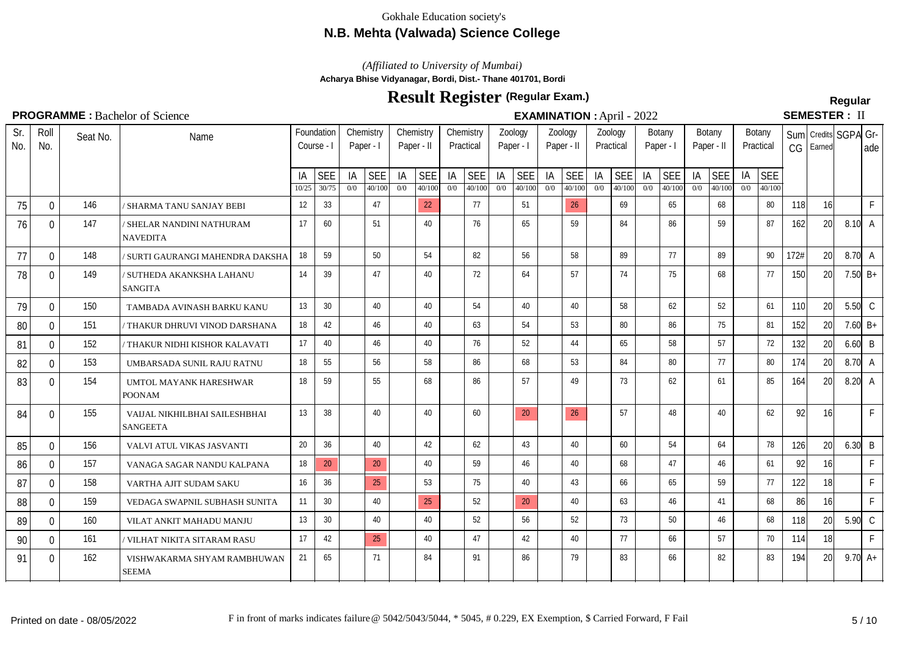# **N.B. Mehta (Valwada) Science College**

*(Affiliated to University of Mumbai)*

**Acharya Bhise Vidyanagar, Bordi, Dist.- Thane 401701, Bordi**

# **Result Register Regular (Regular Exam.)**

# SEMESTER · II

## **PROGRAMME :** Bachelor of Science **Semination Semination :** April - 2022

| .          |              |          |                                                  |             |                          |           |                        |           |                         |           |                        |           |                      |                       |                      |           | <b>EXAMILIATION</b> . Typin - 2022 |           |                      |            |                      |           |                      |            |                                |                      |              |
|------------|--------------|----------|--------------------------------------------------|-------------|--------------------------|-----------|------------------------|-----------|-------------------------|-----------|------------------------|-----------|----------------------|-----------------------|----------------------|-----------|------------------------------------|-----------|----------------------|------------|----------------------|-----------|----------------------|------------|--------------------------------|----------------------|--------------|
| Sr.<br>No. | Roll<br>No.  | Seat No. | Name                                             |             | Foundation<br>Course - I |           | Chemistry<br>Paper - I |           | Chemistry<br>Paper - II |           | Chemistry<br>Practical | Paper - I | Zoology              | Zoology<br>Paper - II |                      |           | Zoology<br>Practical               | Paper -   | Botany               | Paper - II | Botany               |           | Botany<br>Practical  | CG         | Sum Credits SGPA Gr-<br>Earned |                      | lade         |
|            |              |          |                                                  | IA<br>10/25 | <b>SEE</b><br>30/75      | IA<br>0/0 | <b>SEE</b><br>40/100   | IA<br>0/0 | <b>SEE</b><br>40/100    | IA<br>0/0 | <b>SEE</b><br>40/100   | IA<br>0/0 | <b>SEE</b><br>40/100 | IA<br>0/0             | <b>SEE</b><br>40/100 | IA<br>0/0 | <b>SEE</b><br>40/100               | IA<br>0/0 | <b>SEE</b><br>40/100 | IA<br>0/0  | <b>SEE</b><br>40/100 | IA<br>0/0 | <b>SEE</b><br>40/100 |            |                                |                      |              |
| 75         | $\Omega$     | 146      | ' SHARMA TANU SANJAY BEBI                        | 12          | 33                       |           | 47                     |           | 22                      |           | 77                     |           | 51                   |                       | 26                   |           | 69                                 |           | 65                   |            | 68                   |           | 80                   | 118        | 16                             |                      | $\mathsf{F}$ |
| 76         | $\mathbf{0}$ | 147      | / SHELAR NANDINI NATHURAM<br><b>NAVEDITA</b>     | 17          | 60                       |           | 51                     |           | 40                      |           | 76                     |           | 65                   |                       | 59                   |           | 84                                 |           | 86                   |            | 59                   |           | 87                   | 162        | 20                             | $8.10\degree$ A      |              |
| 77         | $\Omega$     | 148      | / SURTI GAURANGI MAHENDRA DAKSHA                 | 18          | 59                       |           | 50                     |           | 54                      |           | 82                     |           | 56                   |                       | 58                   |           | 89                                 |           | 77                   |            | 89                   |           | 90                   | 172#       | 20 <sup>1</sup>                | $8.70\,$ A           |              |
| 78         | $\Omega$     | 149      | / SUTHEDA AKANKSHA LAHANU<br><b>SANGITA</b>      | 14          | 39                       |           | 47                     |           | 40                      |           | 72                     |           | 64                   |                       | 57                   |           | 74                                 |           | 75                   |            | 68                   |           | 77                   | <b>150</b> | 20                             | 7.50 $B+$            |              |
| 79         | $\Omega$     | 150      | TAMBADA AVINASH BARKU KANU                       | 13          | 30                       |           | 40                     |           | 40                      |           | 54                     |           | 40                   |                       | 40                   |           | 58                                 |           | 62                   |            | 52                   |           | 61                   | 110        | 20                             | $5.50\degree$ C      |              |
| 80         | 0            | 151      | ' THAKUR DHRUVI VINOD DARSHANA                   | 18          | 42                       |           | 46                     |           | 40                      |           | 63                     |           | 54                   |                       | 53                   |           | 80                                 |           | 86                   |            | 75                   |           | 81                   | 152        | 20                             | 7.60 $B+$            |              |
| 81         | 0            | 152      | THAKUR NIDHI KISHOR KALAVATI                     | 17          | 40                       |           | 46                     |           | 40                      |           | 76                     |           | 52                   |                       | 44                   |           | 65                                 |           | 58                   |            | 57                   |           | 72                   | 132        | 20                             | $6.60$ B             |              |
| 82         | 0            | 153      | UMBARSADA SUNIL RAJU RATNU                       | 18          | 55                       |           | 56                     |           | 58                      |           | 86                     |           | 68                   |                       | 53                   |           | 84                                 |           | 80                   |            | 77                   |           | 80                   | 174        | 20                             | $8.70\text{ A}$      |              |
| 83         | 0            | 154      | UMTOL MAYANK HARESHWAR<br><b>POONAM</b>          | 18          | 59                       |           | 55                     |           | 68                      |           | 86                     |           | 57                   |                       | 49                   |           | 73                                 |           | 62                   |            | 61                   |           | 85                   | 164        | 20I                            | $8.20\degree$ A      |              |
| 84         | $\Omega$     | 155      | VAIJAL NIKHILBHAI SAILESHBHAI<br><b>SANGEETA</b> | 13          | 38                       |           | 40                     |           | 40                      |           | 60                     |           | 20                   |                       | 26                   |           | 57                                 |           | 48                   |            | 40                   |           | 62                   | 92         | 16 <sup>1</sup>                |                      | $\mathsf{F}$ |
| 85         | $\Omega$     | 156      | VALVI ATUL VIKAS JASVANTI                        | 20          | 36                       |           | 40                     |           | 42                      |           | 62                     |           | 43                   |                       | 40                   |           | 60                                 |           | 54                   |            | 64                   |           | 78                   | 126        | 20                             | $6.30\vert B$        |              |
| 86         | $\mathbf{0}$ | 157      | VANAGA SAGAR NANDU KALPANA                       | 18          | 20                       |           | 20                     |           | 40                      |           | 59                     |           | 46                   |                       | 40                   |           | 68                                 |           | 47                   |            | 46                   |           | 61                   | 92         | 16                             |                      | $\mathsf{F}$ |
| 87         | $\mathbf 0$  | 158      | VARTHA AJIT SUDAM SAKU                           | 16          | 36                       |           | 25                     |           | 53                      |           | 75                     |           | 40                   |                       | 43                   |           | 66                                 |           | 65                   |            | 59                   |           | 77                   | 122        | 18 <sup>1</sup>                |                      | $\mathsf{F}$ |
| 88         | $\mathbf{0}$ | 159      | VEDAGA SWAPNIL SUBHASH SUNITA                    | 11          | 30                       |           | 40                     |           | 25                      |           | 52                     |           | 20                   |                       | 40                   |           | 63                                 |           | 46                   |            | 41                   |           | 68                   | 86         | 16                             |                      | $\mathsf{F}$ |
| 89         | $\mathbf 0$  | 160      | VILAT ANKIT MAHADU MANJU                         | 13          | 30                       |           | 40                     |           | 40                      |           | 52                     |           | 56                   |                       | 52                   |           | 73                                 |           | 50                   |            | 46                   |           | 68                   | 118        | 20                             | $5.90\,$ C           |              |
| 90         | $\mathbf{0}$ | 161      | VILHAT NIKITA SITARAM RASU                       | 17          | 42                       |           | 25                     |           | 40                      |           | 47                     |           | 42                   |                       | 40                   |           | 77                                 |           | 66                   |            | 57                   |           | 70                   | 114        | 18                             |                      | $\mathsf F$  |
| 91         | $\Omega$     | 162      | VISHWAKARMA SHYAM RAMBHUWAN<br><b>SEEMA</b>      | 21          | 65                       |           | 71                     |           | 84                      |           | 91                     |           | 86                   |                       | 79                   |           | 83                                 |           | 66                   |            | 82                   |           | 83                   | 194        | 20 <sub>l</sub>                | $9.70 \, \text{A} +$ |              |
|            |              |          |                                                  |             |                          |           |                        |           |                         |           |                        |           |                      |                       |                      |           |                                    |           |                      |            |                      |           |                      |            |                                |                      |              |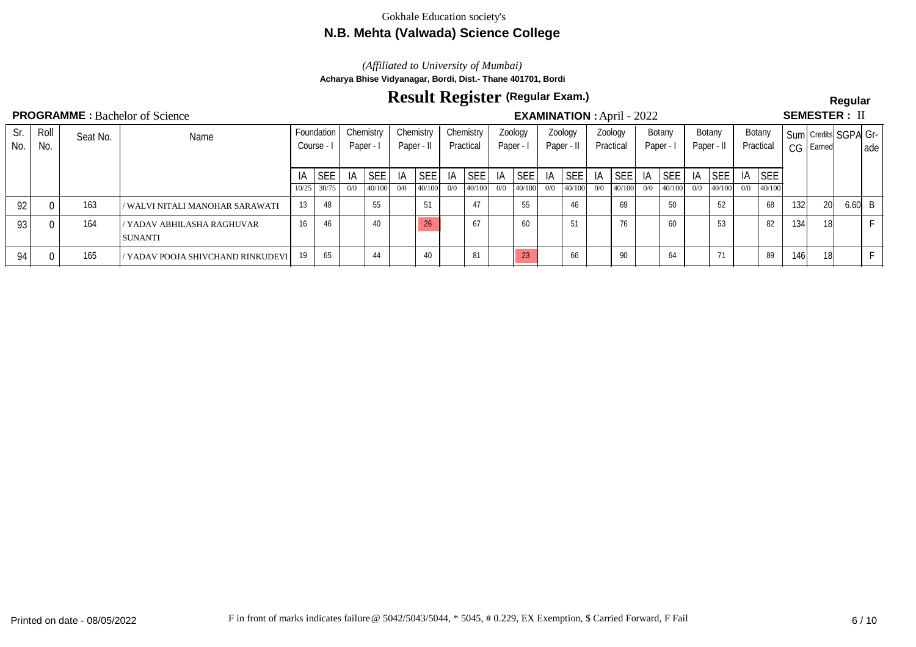## **N.B. Mehta (Valwada) Science College**

*(Affiliated to University of Mumbai)*

**Acharya Bhise Vidyanagar, Bordi, Dist.- Thane 401701, Bordi**

# **Result Register Regular (Regular Exam.)**

## **PROGRAMME** : Bachelor of Science **Semination Contract in the Semination of Science Semination Semination Semination Semination Semination Semination Semination Semination Semination Semination Semi**

**SEMESTER: II** 

|            |             |          | $\cdots$ . Duville of Delene               |       |                        |         |           |           |                 | $\blacksquare$ |                        |     |                      |    |                       |     |                      |         |               |     |                      |     |                     |       |               |                      |       |
|------------|-------------|----------|--------------------------------------------|-------|------------------------|---------|-----------|-----------|-----------------|----------------|------------------------|-----|----------------------|----|-----------------------|-----|----------------------|---------|---------------|-----|----------------------|-----|---------------------|-------|---------------|----------------------|-------|
| Sr.<br>No. | Roll<br>No. | Seat No. | Name                                       |       | Foundation<br>Course - | Paper - | Chemistry | Chemistry | Paper - II      |                | Chemistry<br>Practical |     | Zoology<br>Paper - I |    | Zoology<br>Paper - II |     | Zoology<br>Practical | Paper - | Botany        |     | Botany<br>Paper - II |     | Botany<br>Practical |       | $CG$   Earned | Sum Credits SGPA Gr- | l ade |
|            |             |          |                                            | IA    | <b>SEE</b>             | IA      | 'SEE      | -IA       | <b>SEE</b>      | IA             | <b>SEE</b>             | IA  | SEE                  | IA | SEE                   | ΙA  | SEE                  | -lA     | SEE           |     | IA SEE               | IA  | <b>SEE</b>          |       |               |                      |       |
|            |             |          |                                            | 10/25 | 30/75                  | 0/0     | 140/100   | 0/0       | 40/100          | 0/0            | 40/100                 | 0/0 | 40/100               |    | $0/0$ 40/100          | 0/0 | 40/100               |         | $0/0$  40/100 | 0/0 | 40/100               | 0/0 | 140/100             |       |               |                      |       |
| 92         |             | 163      | / WALVI NITALI MANOHAR SARAWATI            | 13    | 48                     |         | 55        |           | 51              |                | 47                     |     | 55                   |    | 46                    |     | 69                   |         | 50            |     | 52                   |     | 68                  | 132   | 20I           | $6.60 \vert B$       |       |
| 93         |             | 164      | YADAV ABHILASHA RAGHUVAR<br><b>SUNANTI</b> | 16    | 46                     |         | 40        |           | 26 <sup>2</sup> |                | 67                     |     | 60                   |    | 51                    |     | 76                   |         | 60            |     | 53                   |     | 82                  | 134   | 18I           |                      |       |
| 94 i       |             | 165      | 'YADAV POOJA SHIVCHAND RINKUDEVI           | 19    | 65                     |         | 44        |           | 40              |                | 81                     |     | 23                   |    |                       |     | 90                   |         | 64            |     | 71                   |     | 89                  | 146 l | 18I           |                      |       |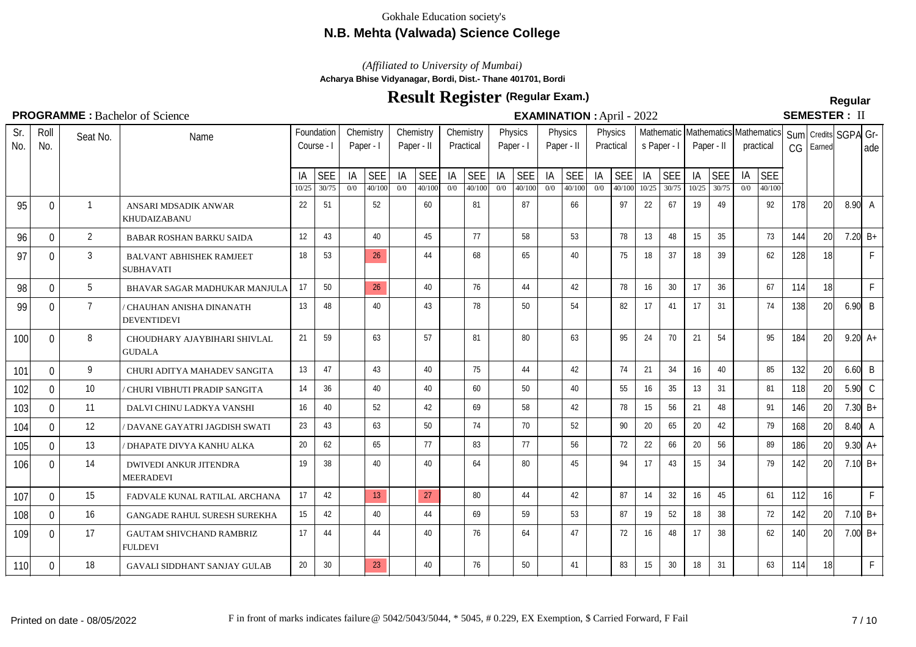# **N.B. Mehta (Valwada) Science College**

*(Affiliated to University of Mumbai)*

**Acharya Bhise Vidyanagar, Bordi, Dist.- Thane 401701, Bordi**

# **Result Register Regular (Regular Exam.)**

**SEMESTER: II** 

| Sr.<br>No. | Roll<br>No.  | Seat No.       | Name                                                |             | Foundation<br>Course - I |           | Chemistry<br>Paper - I |           | Chemistry<br>Paper - II |           | Chemistry<br>Practical | Paper - I | Physics              | Physics   | Paper - II           |           | Physics<br>Practical | s Paper - I  |                     |             | Paper - II          |           | Mathematic Mathematics Mathematics<br>practical | Suml<br>CG | Earned | Credits SGPA Gr- | ade                  |
|------------|--------------|----------------|-----------------------------------------------------|-------------|--------------------------|-----------|------------------------|-----------|-------------------------|-----------|------------------------|-----------|----------------------|-----------|----------------------|-----------|----------------------|--------------|---------------------|-------------|---------------------|-----------|-------------------------------------------------|------------|--------|------------------|----------------------|
|            |              |                |                                                     | IA<br>10/25 | <b>SEE</b><br>30/75      | ΙA<br>0/0 | <b>SEE</b><br>40/100   | IA<br>0/0 | <b>SEE</b><br>40/100    | IA<br>0/0 | <b>SEE</b><br>40/100   | ΙA<br>0/0 | <b>SEE</b><br>40/100 | IA<br>0/0 | <b>SEE</b><br>40/100 | ΙA<br>0/0 | <b>SEE</b><br>40/100 | IA.<br>10/25 | <b>SEE</b><br>30/75 | IA<br>10/25 | <b>SEE</b><br>30/75 | IA<br>0/0 | <b>SEE</b><br>40/100                            |            |        |                  |                      |
| 95         | $\mathbf 0$  | $\mathbf{1}$   | ANSARI MDSADIK ANWAR<br>KHUDAIZABANU                | 22          | 51                       |           | 52                     |           | 60                      |           | 81                     |           | 87                   |           | 66                   |           | 97                   | 22           | 67                  | 19          | 49                  |           | 92                                              | 178        | 20     | $8.90\degree$ A  |                      |
| 96         | $\mathbf 0$  | 2              | <b>BABAR ROSHAN BARKU SAIDA</b>                     | 12          | 43                       |           | 40                     |           | 45                      |           | 77                     |           | 58                   |           | 53                   |           | 78                   | 13           | 48                  | 15          | 35                  |           | 73                                              | 144        | 20     | 7.20 $B+$        |                      |
| 97         | $\mathbf{0}$ | 3              | <b>BALVANT ABHISHEK RAMJEET</b><br><b>SUBHAVATI</b> | 18          | 53                       |           | 26                     |           | 44                      |           | 68                     |           | 65                   |           | 40                   |           | 75                   | 18           | 37                  | 18          | 39                  |           | 62                                              | 128        | 18     |                  | F                    |
| 98         | $\Omega$     | 5              | BHAVAR SAGAR MADHUKAR MANJULA                       | 17          | 50                       |           | 26                     |           | 40                      |           | 76                     |           | 44                   |           | 42                   |           | 78                   | 16           | 30                  | 17          | 36                  |           | 67                                              | 114        | 18     |                  | F                    |
| 99         | $\mathbf{0}$ | $\overline{7}$ | CHAUHAN ANISHA DINANATH<br><b>DEVENTIDEVI</b>       | 13          | 48                       |           | 40                     |           | 43                      |           | 78                     |           | 50                   |           | 54                   |           | 82                   | 17           | 41                  | 17          | 31                  |           | 74                                              | 138        | 20     | $6.90$ B         |                      |
| 100        | $\Omega$     | 8              | CHOUDHARY AJAYBIHARI SHIVLAL<br><b>GUDALA</b>       | 21          | 59                       |           | 63                     |           | 57                      |           | 81                     |           | 80                   |           | 63                   |           | 95                   | 24           | 70                  | 21          | 54                  |           | 95                                              | 184        | 20     |                  | $9.20 A+$            |
| 101        | 0            | 9              | CHURI ADITYA MAHADEV SANGITA                        | 13          | 47                       |           | 43                     |           | 40                      |           | 75                     |           | 44                   |           | 42                   |           | 74                   | 21           | 34                  | 16          | 40                  |           | 85                                              | 132        | 20     | $6.60$ B         |                      |
| 102        | $\mathbf{0}$ | 10             | CHURI VIBHUTI PRADIP SANGITA                        | 14          | 36                       |           | 40                     |           | 40                      |           | 60                     |           | 50                   |           | 40                   |           | 55                   | 16           | 35                  | 13          | 31                  |           | 81                                              | 118        | 20     | $5.90$ C         |                      |
| 103        | 0            | 11             | DALVI CHINU LADKYA VANSHI                           | 16          | 40                       |           | 52                     |           | 42                      |           | 69                     |           | 58                   |           | 42                   |           | 78                   | 15           | 56                  | 21          | 48                  |           | 91                                              | 146        | 20     |                  | 7.30 $B+$            |
| 104        | $\Omega$     | 12             | DAVANE GAYATRI JAGDISH SWATI                        | 23          | 43                       |           | 63                     |           | 50                      |           | 74                     |           | 70                   |           | 52                   |           | 90                   | 20           | 65                  | 20          | 42                  |           | 79                                              | 168        | 20     | $8.40\degree$ A  |                      |
| 105        | $\Omega$     | 13             | <b>DHAPATE DIVYA KANHU ALKA</b>                     | 20          | 62                       |           | 65                     |           | 77                      |           | 83                     |           | 77                   |           | 56                   |           | 72                   | 22           | 66                  | 20          | 56                  |           | 89                                              | 186        | 20     |                  | $9.30 \, \text{A} +$ |
| 106        | $\mathbf{0}$ | 14             | <b>DWIVEDI ANKUR JITENDRA</b><br><b>MEERADEVI</b>   | 19          | 38                       |           | 40                     |           | 40                      |           | 64                     |           | 80                   |           | 45                   |           | 94                   | 17           | 43                  | 15          | 34                  |           | 79                                              | 142        | 20     | 7.10 $B+$        |                      |
| 107        | $\Omega$     | 15             | FADVALE KUNAL RATILAL ARCHANA                       | 17          | 42                       |           | 13                     |           | 27                      |           | 80                     |           | 44                   |           | 42                   |           | 87                   | 14           | 32                  | 16          | 45                  |           | 61                                              | 112        | 16     |                  | F                    |
| 108        | $\mathbf{0}$ | 16             | <b>GANGADE RAHUL SURESH SUREKHA</b>                 | 15          | 42                       |           | 40                     |           | 44                      |           | 69                     |           | 59                   |           | 53                   |           | 87                   | 19           | 52                  | 18          | 38                  |           | 72                                              | 142        | 20     | 7.10 $B+$        |                      |
| 109        | $\Omega$     | 17             | <b>GAUTAM SHIVCHAND RAMBRIZ</b><br><b>FULDEVI</b>   | 17          | 44                       |           | 44                     |           | 40                      |           | 76                     |           | 64                   |           | 47                   |           | 72                   | 16           | 48                  | 17          | 38                  |           | 62                                              | 140        | 20     |                  | 7.00 $B+$            |
| 110        | $\mathbf{0}$ | 18             | GAVALI SIDDHANT SANJAY GULAB                        | 20          | 30                       |           | 23                     |           | 40                      |           | 76                     |           | 50                   |           | 41                   |           | 83                   | 15           | 30                  | 18          | 31                  |           | 63                                              | 114        | 18     |                  | F                    |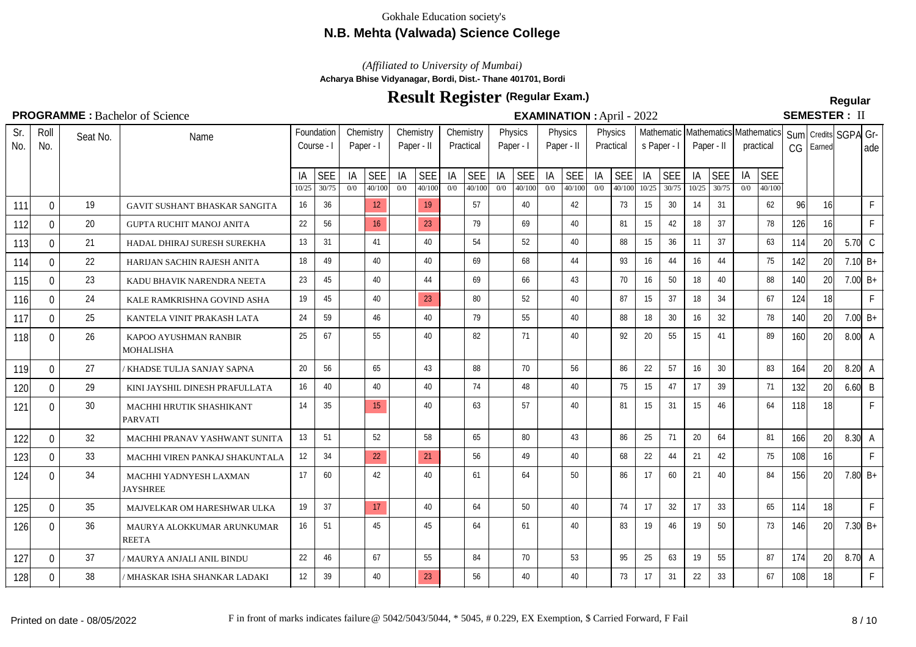# **N.B. Mehta (Valwada) Science College**

## *(Affiliated to University of Mumbai)*

**Acharya Bhise Vidyanagar, Bordi, Dist.- Thane 401701, Bordi**

# **Result Register Regular (Regular Exam.)**

# SEMESTER: II

| Sr.<br>No. | Roll<br>No.  | Seat No. | Name                                       |       | Foundation<br>Course - I |     | Chemistry<br>Paper - I | Chemistry<br>Paper - II |            |     | Chemistry<br>Practical |     | Physics<br>Paper - I |     | Physics<br>Paper - II |     | Physics<br>Practical | s Paper - I |            |       | Paper - II      |     | Mathematic Mathematics Mathematics<br>practical | CG  | Sum   Credits   SGPA Gr-<br>Earned |                 | lade         |
|------------|--------------|----------|--------------------------------------------|-------|--------------------------|-----|------------------------|-------------------------|------------|-----|------------------------|-----|----------------------|-----|-----------------------|-----|----------------------|-------------|------------|-------|-----------------|-----|-------------------------------------------------|-----|------------------------------------|-----------------|--------------|
|            |              |          |                                            | IA    | <b>SEE</b>               | IA  | <b>SEE</b>             | ΙA                      | <b>SEE</b> | IA  | <b>SEE</b>             | IA  | <b>SEE</b>           | IA  | <b>SEE</b>            | IA  | <b>SEE</b>           | IA          | <b>SEE</b> | IA    | <b>SEE</b>      | IA  | <b>SEE</b>                                      |     |                                    |                 |              |
|            |              |          |                                            | 10/25 | 30/75                    | 0/0 | 40/100                 | 0/0                     | 40/100     | 0/0 | 40/100                 | 0/0 | 40/100               | 0/0 | 40/100                | 0/0 | 40/100               | 10/25       | 30/75      | 10/25 | 30/75           | 0/0 | 40/100                                          |     |                                    |                 |              |
| 111        | $\Omega$     | 19       | GAVIT SUSHANT BHASKAR SANGITA              | 16    | 36                       |     | 12 <sup>°</sup>        |                         | 19         |     | 57                     |     | 40                   |     | 42                    |     | 73                   | 15          | 30         | 14    | 31              |     | 62                                              | 96  | 16                                 |                 | F            |
| 112        | $\mathbf{0}$ | 20       | <b>GUPTA RUCHIT MANOJ ANITA</b>            | 22    | 56                       |     | 16                     |                         | 23         |     | 79                     |     | 69                   |     | 40                    |     | 81                   | 15          | 42         | 18    | 37              |     | 78                                              | 126 | 16                                 |                 | $\mathsf{F}$ |
| 113        | $\mathbf{0}$ | 21       | HADAL DHIRAJ SURESH SUREKHA                | 13    | 31                       |     | 41                     |                         | 40         |     | 54                     |     | 52                   |     | 40                    |     | 88                   | 15          | 36         | 11    | 37              |     | 63                                              | 114 | 20                                 | $5.70\degree$ C |              |
| 114        | $\mathbf{0}$ | 22       | HARIJAN SACHIN RAJESH ANITA                | 18    | 49                       |     | 40                     |                         | 40         |     | 69                     |     | 68                   |     | 44                    |     | 93                   | 16          | 44         | 16    | 44              |     | 75                                              | 142 | 20                                 | 7.10 $B+$       |              |
| 115        | $\Omega$     | 23       | KADU BHAVIK NARENDRA NEETA                 | 23    | 45                       |     | 40                     |                         | 44         |     | 69                     |     | 66                   |     | 43                    |     | 70                   | 16          | 50         | 18    | 40              |     | 88                                              | 140 | 20                                 | 7.00 $B+$       |              |
| 116        | $\Omega$     | 24       | KALE RAMKRISHNA GOVIND ASHA                | 19    | 45                       |     | 40                     |                         | 23         |     | 80                     |     | 52                   |     | 40                    |     | 87                   | 15          | 37         | 18    | 34              |     | 67                                              | 124 | 18                                 |                 | $\mathsf{F}$ |
| 117        | $\Omega$     | 25       | KANTELA VINIT PRAKASH LATA                 | 24    | 59                       |     | 46                     |                         | 40         |     | 79                     |     | 55                   |     | 40                    |     | 88                   | 18          | 30         | 16    | 32              |     | 78                                              | 140 | 20                                 | 7.00 $B+$       |              |
| 118        | $\mathbf{0}$ | 26       | KAPOO AYUSHMAN RANBIR<br><b>MOHALISHA</b>  | 25    | 67                       |     | 55                     |                         | 40         |     | 82                     |     | 71                   |     | 40                    |     | 92                   | 20          | 55         | 15    | 41              |     | 89                                              | 160 | 20 <sup>1</sup>                    | $8.00\text{ A}$ |              |
| 119        | $\Omega$     | 27       | KHADSE TULJA SANJAY SAPNA                  | 20    | 56                       |     | 65                     |                         | 43         |     | 88                     |     | 70                   |     | 56                    |     | 86                   | 22          | 57         | 16    | 30 <sup>°</sup> |     | 83                                              | 164 | 20 <sup>1</sup>                    | $8.20\degree$ A |              |
| 120        | 0            | 29       | KINI JAYSHIL DINESH PRAFULLATA             | 16    | 40                       |     | 40                     |                         | 40         |     | 74                     |     | 48                   |     | 40                    |     | 75                   | 15          | 47         | 17    | 39              |     | 71                                              | 132 | 20                                 | $6.60$ B        |              |
| 121        | $\Omega$     | 30       | MACHHI HRUTIK SHASHIKANT<br><b>PARVATI</b> | 14    | 35                       |     | 15                     |                         | 40         |     | 63                     |     | 57                   |     | 40                    |     | 81                   | 15          | 31         | 15    | 46              |     | 64                                              | 118 | 18                                 |                 | $\mathsf{F}$ |
| 122        | $\Omega$     | 32       | MACHHI PRANAV YASHWANT SUNITA              | 13    | 51                       |     | 52                     |                         | 58         |     | 65                     |     | 80                   |     | 43                    |     | 86                   | 25          | 71         | 20    | 64              |     | 81                                              | 166 | 20 <sup>1</sup>                    | $8.30\degree$ A |              |
| 123        | $\Omega$     | 33       | MACHHI VIREN PANKAJ SHAKUNTALA             | 12    | 34                       |     | 22                     |                         | 21         |     | 56                     |     | 49                   |     | 40                    |     | 68                   | 22          | 44         | 21    | 42              |     | 75                                              | 108 | 16                                 |                 | $\mathsf{F}$ |
| 124        | $\Omega$     | 34       | MACHHI YADNYESH LAXMAN<br><b>JAYSHREE</b>  | 17    | 60                       |     | 42                     |                         | 40         |     | 61                     |     | 64                   |     | 50                    |     | 86                   | 17          | 60         | 21    | 40              |     | 84                                              | 156 | 20 <sup>1</sup>                    | 7.80 $B+$       |              |
| 125        | 0            | 35       | MAJVELKAR OM HARESHWAR ULKA                | 19    | 37                       |     | 17                     |                         | 40         |     | 64                     |     | 50                   |     | 40                    |     | 74                   | 17          | 32         | 17    | 33              |     | 65                                              | 114 | 18                                 |                 | $\mathsf{F}$ |
| 126        | 0            | 36       | MAURYA ALOKKUMAR ARUNKUMAR<br><b>REETA</b> | 16    | 51                       |     | 45                     |                         | 45         |     | 64                     |     | 61                   |     | 40                    |     | 83                   | 19          | 46         | 19    | 50              |     | 73                                              | 146 | 20                                 | 7.30 $B+$       |              |
| 127        | $\Omega$     | 37       | / MAURYA ANJALI ANIL BINDU                 | 22    | 46                       |     | 67                     |                         | 55         |     | 84                     |     | 70                   |     | 53                    |     | 95                   | 25          | 63         | 19    | 55              |     | 87                                              | 174 | 20 <sup>1</sup>                    | $8.70\text{ A}$ |              |
| 128        | 0            | 38       | ' MHASKAR ISHA SHANKAR LADAKI              | 12    | 39                       |     | 40                     |                         | 23         |     | 56                     |     | 40                   |     | 40                    |     | 73                   | 17          | 31         | 22    | 33              |     | 67                                              | 108 | 18 <sup>1</sup>                    |                 | $\mathsf{F}$ |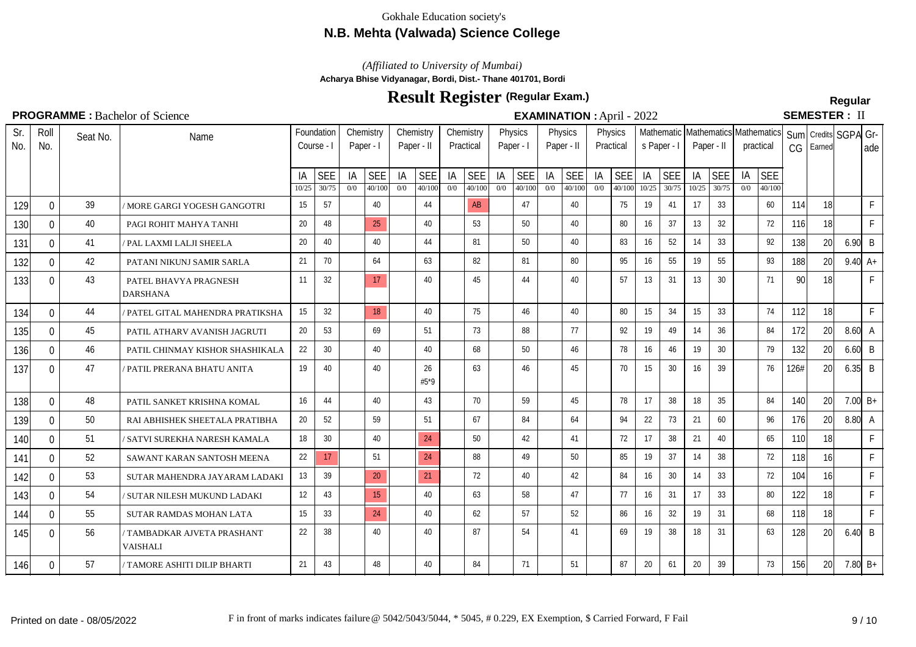# **N.B. Mehta (Valwada) Science College**

*(Affiliated to University of Mumbai)*

**Acharya Bhise Vidyanagar, Bordi, Dist.- Thane 401701, Bordi**

# **Result Register Regular (Regular Exam.)**

SEMESTER: II

| Sr.<br>No. | Roll<br>No.  | Seat No. | Name                                           |             | Foundation<br>Course - I |           | Chemistry<br>Paper - I |           | Chemistry<br>Paper - II |           | Chemistry<br>Practical |           | Physics<br>Paper - I | Paper - II | Physics              |           | Physics<br>Practical | s Paper - I |              | Paper - II  |                     |           | Mathematic Mathematics Mathematics<br>practical | CG         | Sum   Credits   SGPA Gr-<br>Earned |                      | l ade        |
|------------|--------------|----------|------------------------------------------------|-------------|--------------------------|-----------|------------------------|-----------|-------------------------|-----------|------------------------|-----------|----------------------|------------|----------------------|-----------|----------------------|-------------|--------------|-------------|---------------------|-----------|-------------------------------------------------|------------|------------------------------------|----------------------|--------------|
|            |              |          |                                                | IA<br>10/25 | <b>SEE</b><br>30/75      | IA<br>0/0 | <b>SEE</b><br>40/100   | IA<br>0/0 | <b>SEE</b><br>40/100    | ΙA<br>0/0 | <b>SEE</b><br>40/100   | IA<br>0/0 | <b>SEE</b><br>40/100 | IA<br>0/0  | <b>SEE</b><br>40/100 | IA<br>0/0 | <b>SEE</b><br>40/100 | IA<br>10/25 | SEE<br>30/75 | IA<br>10/25 | <b>SEE</b><br>30/75 | IA<br>0/0 | <b>SEE</b><br>40/100                            |            |                                    |                      |              |
| 129        | $\Omega$     | 39       | ' MORE GARGI YOGESH GANGOTRI                   | 15          | 57                       |           | 40                     |           | 44                      |           | <b>AB</b>              |           | 47                   |            | 40                   |           | 75                   | 19          | 41           | 17          | 33                  |           | 60                                              | 114        | 18                                 |                      | $\mathsf F$  |
| 130        | $\Omega$     | 40       | PAGI ROHIT MAHYA TANHI                         | 20          | 48                       |           | 25                     |           | 40                      |           | 53                     |           | 50                   |            | 40                   |           | 80                   | 16          | 37           | 13          | 32                  |           | 72                                              | <b>116</b> | 18                                 |                      | $\mathsf{F}$ |
| 131        | $\Omega$     | 41       | PAL LAXMI LALJI SHEELA                         | 20          | 40                       |           | 40                     |           | 44                      |           | 81                     |           | 50                   |            | 40                   |           | 83                   | 16          | 52           | 14          | 33                  |           | 92                                              | 138        | 20                                 | $6.90$ B             |              |
| 132        | 0            | 42       | PATANI NIKUNJ SAMIR SARLA                      | 21          | 70                       |           | 64                     |           | 63                      |           | 82                     |           | 81                   |            | 80                   |           | 95                   | 16          | 55           | 19          | 55                  |           | 93                                              | 188        | 20                                 | $9.40 \, \text{A} +$ |              |
| 133        | 0            | 43       | PATEL BHAVYA PRAGNESH<br><b>DARSHANA</b>       | 11          | 32                       |           | 17                     |           | 40                      |           | 45                     |           | 44                   |            | 40                   |           | 57                   | 13          | 31           | 13          | 30                  |           | 71                                              | 90         | 18                                 |                      | F            |
| 134        | $\Omega$     | 44       | PATEL GITAL MAHENDRA PRATIKSHA                 | 15          | 32                       |           | 18                     |           | 40                      |           | 75                     |           | 46                   |            | 40                   |           | 80                   | 15          | 34           | 15          | 33                  |           | 74                                              | 112        | 18                                 |                      | $\mathsf{F}$ |
| 135        | $\Omega$     | 45       | PATIL ATHARV AVANISH JAGRUTI                   | 20          | 53                       |           | 69                     |           | 51                      |           | 73                     |           | 88                   |            | 77                   |           | 92                   | 19          | 49           | 14          | 36                  |           | 84                                              | 172        | 20                                 | $8.60\text{ A}$      |              |
| 136        | $\Omega$     | 46       | PATIL CHINMAY KISHOR SHASHIKALA                | 22          | 30                       |           | 40                     |           | 40                      |           | 68                     |           | 50                   |            | 46                   |           | 78                   | 16          | 46           | 19          | 30                  |           | 79                                              | 132        | 20                                 | $6.60$ B             |              |
| 137        | $\Omega$     | 47       | PATIL PRERANA BHATU ANITA                      | 19          | 40                       |           | 40                     |           | 26<br>$#5*9$            |           | 63                     |           | 46                   |            | 45                   |           | 70                   | 15          | 30           | 16          | 39                  |           | 76                                              | 126#       | 20                                 | $6.35$ B             |              |
| 138        | $\Omega$     | 48       | PATIL SANKET KRISHNA KOMAL                     | 16          | 44                       |           | 40                     |           | 43                      |           | 70                     |           | 59                   |            | 45                   |           | 78                   | 17          | 38           | 18          | 35                  |           | 84                                              | 140        | 20                                 |                      | 7.00 $B+$    |
| 139        | 0            | 50       | RAI ABHISHEK SHEETALA PRATIBHA                 | 20          | 52                       |           | 59                     |           | 51                      |           | 67                     |           | 84                   |            | 64                   |           | 94                   | 22          | 73           | 21          | 60                  |           | 96                                              | 176        | 20                                 | $8.80\degree$ A      |              |
| 140        | 0            | 51       | ' SATVI SUREKHA NARESH KAMALA                  | 18          | 30                       |           | 40                     |           | 24                      |           | 50                     |           | 42                   |            | 41                   |           | 72                   | 17          | 38           | 21          | 40                  |           | 65                                              | 110        | 18I                                |                      | $\mathsf F$  |
| 141        | 0            | 52       | SAWANT KARAN SANTOSH MEENA                     | 22          | 17                       |           | 51                     |           | 24                      |           | 88                     |           | 49                   |            | 50                   |           | 85                   | 19          | 37           | 14          | 38                  |           | 72                                              | 118        | 16                                 |                      | $\mathsf F$  |
| 142        | 0            | 53       | SUTAR MAHENDRA JAYARAM LADAKI                  | 13          | 39                       |           | 20                     |           | 21                      |           | 72                     |           | 40                   |            | 42                   |           | 84                   | 16          | 30           | 14          | 33                  |           | 72                                              | 104        | 16 <sup>1</sup>                    |                      | $\mathsf{F}$ |
| 143        | $\Omega$     | 54       | SUTAR NILESH MUKUND LADAKI                     | 12          | 43                       |           | 15                     |           | 40                      |           | 63                     |           | 58                   |            | 47                   |           | 77                   | 16          | 31           | 17          | 33                  |           | 80                                              | 122        | 18                                 |                      | $\mathsf{F}$ |
| 144        | $\mathbf{0}$ | 55       | SUTAR RAMDAS MOHAN LATA                        | 15          | 33                       |           | 24                     |           | 40                      |           | 62                     |           | 57                   |            | 52                   |           | 86                   | 16          | 32           | 19          | 31                  |           | 68                                              | 118        | 18                                 |                      | $\mathsf{F}$ |
| 145        | 0            | 56       | / TAMBADKAR AJVETA PRASHANT<br><b>VAISHALI</b> | 22          | 38                       |           | 40                     |           | 40                      |           | 87                     |           | 54                   |            | 41                   |           | 69                   | 19          | 38           | 18          | 31                  |           | 63                                              | 128        | 20                                 | $6.40 \mid B$        |              |
| 146        | $\Omega$     | 57       | / TAMORE ASHITI DILIP BHARTI                   | 21          | 43                       |           | 48                     |           | 40                      |           | 84                     |           | 71                   |            | 51                   |           | 87                   | 20          | 61           | 20          | 39                  |           | 73                                              | 156        | 20                                 | 7.80 $B+$            |              |
|            |              |          |                                                |             |                          |           |                        |           |                         |           |                        |           |                      |            |                      |           |                      |             |              |             |                     |           |                                                 |            |                                    |                      |              |